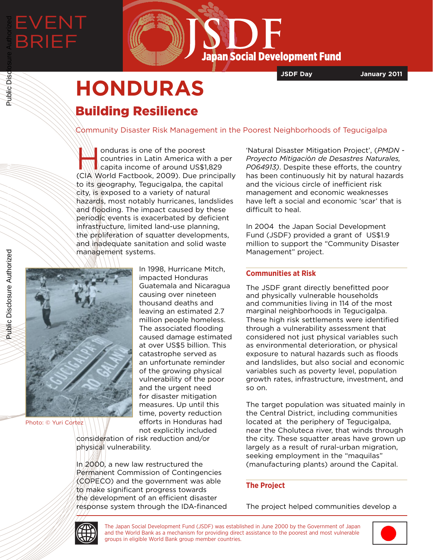# EVENT BRIEF Public Disclosure Authorized



**JSDF Day January 2011**

# **HONDURAS** Building Resilience

Community Disaster Risk Management in the Poorest Neighborhoods of Tegucigalpa

In onduras is one of the poorest<br>
countries in Latin America with a p<br>
capita income of around US\$1,829 countries in Latin America with a per (CIA World Factbook, 2009). Due principally to its geography, Tegucigalpa, the capital city, is exposed to a variety of natural hazards, most notably hurricanes, landslides and flooding. The impact caused by these periodic events is exacerbated by deficient infrastructure, limited land-use planning, the proliferation of squatter developments, and inadequate sanitation and solid waste management systems.



Photo: © Yuri Cortez

In 1998, Hurricane Mitch, impacted Honduras Guatemala and Nicaragua causing over nineteen thousand deaths and leaving an estimated 2.7 million people homeless. The associated flooding caused damage estimated at over US\$5 billion. This catastrophe served as an unfortunate reminder of the growing physical vulnerability of the poor and the urgent need for disaster mitigation measures. Up until this time, poverty reduction efforts in Honduras had not explicitly included

consideration of risk reduction and/or physical vulnerability.

In 2000, a new law restructured the Permanent Commission of Contingencies (COPECO) and the government was able to make significant progress towards the development of an efficient disaster  $\;$ response system through the IDA-financed 'Natural Disaster Mitigation Project', (*PMDN - Proyecto Mitigaci*ó*n de Desastres Naturales, P064913)*. Despite these efforts, the country has been continuously hit by natural hazards and the vicious circle of inefficient risk management and economic weaknesses have left a social and economic 'scar' that is difficult to heal.

In 2004 the Japan Social Development Fund (JSDF) provided a grant of US\$1.9 million to support the "Community Disaster Management" project.

# **Communities at Risk**

The JSDF grant directly benefitted poor and physically vulnerable households and communities living in 114 of the most marginal neighborhoods in Tegucigalpa. These high risk settlements were identified through a vulnerability assessment that considered not just physical variables such as environmental deterioration, or physical exposure to natural hazards such as floods and landslides, but also social and economic variables such as poverty level, population growth rates, infrastructure, investment, and so on.

The target population was situated mainly in the Central District, including communities located at the periphery of Tegucigalpa, near the Choluteca river, that winds through the city. These squatter areas have grown up largely as a result of rural-urban migration, seeking employment in the "maquilas" (manufacturing plants) around the Capital.

# **The Project**

The project helped communities develop a



The Japan Social Development Fund (JSDF) was established in June 2000 by the Government of Japan and the World Bank as a mechanism for providing direct assistance to the poorest and most vulnerable groups in eligible World Bank group member countries.



Public Disclosure Authorized

Public Disclosure Authorized

Public Disc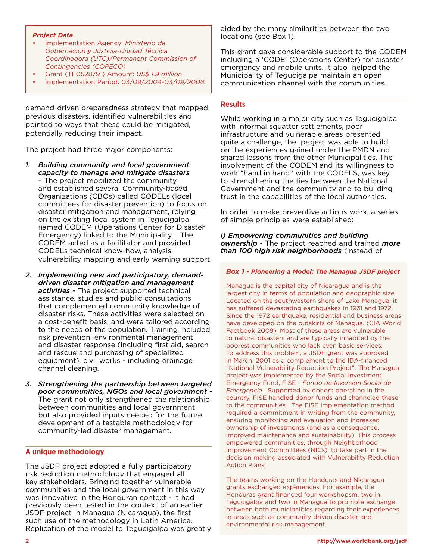#### *Project Data*

- Implementation Agency: *Ministerio de Gobernación y Justicia-Unidad Técnica Coordinadora (UTC)/Permanent Commission of Contingencies (COPECO)*
- Grant (TF052879 ) Amount: *US\$ 1.9 million*
- Implementation Period: 03/09/*2004-03/09/2008*

demand-driven preparedness strategy that mapped previous disasters, identified vulnerabilities and pointed to ways that these could be mitigated, potentially reducing their impact.

The project had three major components:

- *1. Building community and local government capacity to manage and mitigate disasters* – The project mobilized the community and established several Community-based Organizations (CBOs) called CODELs (local committees for disaster prevention) to focus on disaster mitigation and management, relying on the existing local system in Tegucigalpa named CODEM (Operations Center for Disaster Emergency) linked to the Municipality. The CODEM acted as a facilitator and provided CODELs technical know-how, analysis, vulnerability mapping and early warning support.
- *2. Implementing new and participatory, demanddriven disaster mitigation and management activities -* The project supported technical assistance, studies and public consultations that complemented community knowledge of disaster risks. These activities were selected on a cost-benefit basis, and were tailored according to the needs of the population. Training included risk prevention, environmental management and disaster response (including first aid, search and rescue and purchasing of specialized equipment), civil works - including drainage channel cleaning.
- *3. Strengthening the partnership between targeted poor communities, NGOs and local government -* The grant not only strengthened the relationship between communities and local government but also provided inputs needed for the future development of a testable methodology for community-led disaster management.

#### **A unique methodology**

The JSDF project adopted a fully participatory risk reduction methodology that engaged all key stakeholders. Bringing together vulnerable communities and the local government in this way was innovative in the Honduran context - it had previously been tested in the context of an earlier JSDF project in Managua (Nicaragua), the first such use of the methodology in Latin America. Replication of the model to Tegucigalpa was greatly aided by the many similarities between the two locations (see Box 1).

This grant gave considerable support to the CODEM including a 'CODE' (Operations Center) for disaster emergency and mobile units. It also helped the Municipality of Tegucigalpa maintain an open communication channel with the communities.

#### **Results**

While working in a major city such as Tegucigalpa with informal squatter settlements, poor infrastructure and vulnerable areas presented quite a challenge, the project was able to build on the experiences gained under the PMDN and shared lessons from the other Municipalities. The involvement of the CODEM and its willingness to work "hand in hand" with the CODELS, was key to strengthening the ties between the National Government and the community and to building trust in the capabilities of the local authorities.

In order to make preventive actions work, a series of simple principles were established:

*i) Empowering communities and building ownership -* The project reached and trained *more than 100 high risk neighborhoods* (instead of

#### *Box 1 - Pioneering a Model: The Managua JSDF project*

Managua is the capital city of Nicaragua and is the largest city in terms of population and geographic size. Located on the southwestern shore of Lake Managua, it has suffered devastating earthquakes in 1931 and 1972. Since the 1972 earthquake, residential and business areas have developed on the outskirts of Managua. (CIA World Factbook 2009). Most of these areas are vulnerable to natural disasters and are typically inhabited by the poorest communities who lack even basic services. To address this problem, a JSDF grant was approved in March, 2001 as a complement to the IDA-financed "National Vulnerability Reduction Project". The Managua project was implemented by the Social Investment Emergency Fund, FISE - *Fondo de Inversion Social de Emergencia*. Supported by donors operating in the country, FISE handled donor funds and channeled these to the communities. The FISE implementation method required a commitment in writing from the community, ensuring monitoring and evaluation and increased ownership of investments (and as a consequence, improved maintenance and sustainability). This process empowered communities, through Neighborhood Improvement Committees (NICs), to take part in the decision making associated with Vulnerability Reduction Action Plans.

The teams working on the Honduras and Nicaragua grants exchanged experiences. For example, the Honduras grant financed four workshopsm, two in Tegucigalpa and two in Managua to promote exchange between both municipalities regarding their experiences in areas such as community driven disaster and environmental risk management.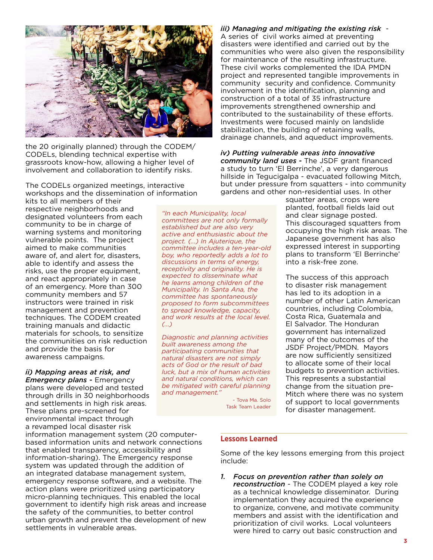

the 20 originally planned) through the CODEM/ CODELs, blending technical expertise with grassroots know-how, allowing a higher level of involvement and collaboration to identify risks.

The CODELs organized meetings, interactive workshops and the dissemination of information

kits to all members of their respective neighborhoods and designated volunteers from each community to be in charge of warning systems and monitoring vulnerable points. The project aimed to make communities aware of, and alert for, disasters, able to identify and assess the risks, use the proper equipment, and react appropriately in case of an emergency. More than 300 community members and 57 instructors were trained in risk management and prevention techniques. The CODEM created training manuals and didactic materials for schools, to sensitize the communities on risk reduction and provide the basis for awareness campaigns.

# *ii) Mapping areas at risk, and*

*Emergency plans -* Emergency plans were developed and tested through drills in 30 neighborhoods and settlements in high risk areas. These plans pre-screened for environmental impact through a revamped local disaster risk

information management system (20 computerbased information units and network connections that enabled transparency, accessibility and information-sharing). The Emergency response system was updated through the addition of an integrated database management system, emergency response software, and a website. The action plans were prioritized using participatory micro-planning techniques. This enabled the local government to identify high risk areas and increase the safety of the communities, to better control urban growth and prevent the development of new settlements in vulnerable areas.

*"In each Municipality, local committees are not only formally established but are also very active and enthusiastic about the project. (...) In Ajuterique, the committee includes a ten-year-old boy, who reportedly adds a lot to discussions in terms of energy, receptivity and originality. He is expected to disseminate what he learns among children of the Municipality. In Santa Ana, the committee has spontaneously proposed to form subcommittees to spread knowledge, capacity, and work results at the local level. (...)*

*Diagnostic and planning activities built awareness among the participating communities that natural disasters are not simply acts of God or the result of bad luck, but a mix of human activities and natural conditions, which can be mitigated with careful planning and management."* 

> - Tova Ma. Solo Task Team Leader

*iii) Managing and mitigating the existing risk* - A series of civil works aimed at preventing disasters were identified and carried out by the communities who were also given the responsibility for maintenance of the resulting infrastructure. These civil works complemented the IDA PMDN project and represented tangible improvements in community security and confidence. Community involvement in the identification, planning and construction of a total of 35 infrastructure improvements strengthened ownership and contributed to the sustainability of these efforts. Investments were focused mainly on landslide stabilization, the building of retaining walls, drainage channels, and aqueduct improvements.

*iv) Putting vulnerable areas into innovative community land uses -* The JSDF grant financed a study to turn 'El Berrinche', a very dangerous hillside in Tegucigalpa - evacuated following Mitch, but under pressure from squatters - into community gardens and other non-residential uses. In other

squatter areas, crops were planted, football fields laid out and clear signage posted. This discouraged squatters from occupying the high risk areas. The Japanese government has also expressed interest in supporting plans to transform 'El Berrinche' into a risk-free zone.

The success of this approach to disaster risk management has led to its adoption in a number of other Latin American countries, including Colombia, Costa Rica, Guatemala and El Salvador. The Honduran government has internalized many of the outcomes of the JSDF Project/PMDN. Mayors are now sufficiently sensitized to allocate some of their local budgets to prevention activities. This represents a substantial change from the situation pre-Mitch where there was no system of support to local governments for disaster management.

# **Lessons Learned**

Some of the key lessons emerging from this project include:

*1. Focus on prevention rather than solely on reconstruction* - The CODEM played a key role as a technical knowledge disseminator. During implementation they acquired the experience to organize, convene, and motivate community members and assist with the identification and prioritization of civil works. Local volunteers were hired to carry out basic construction and